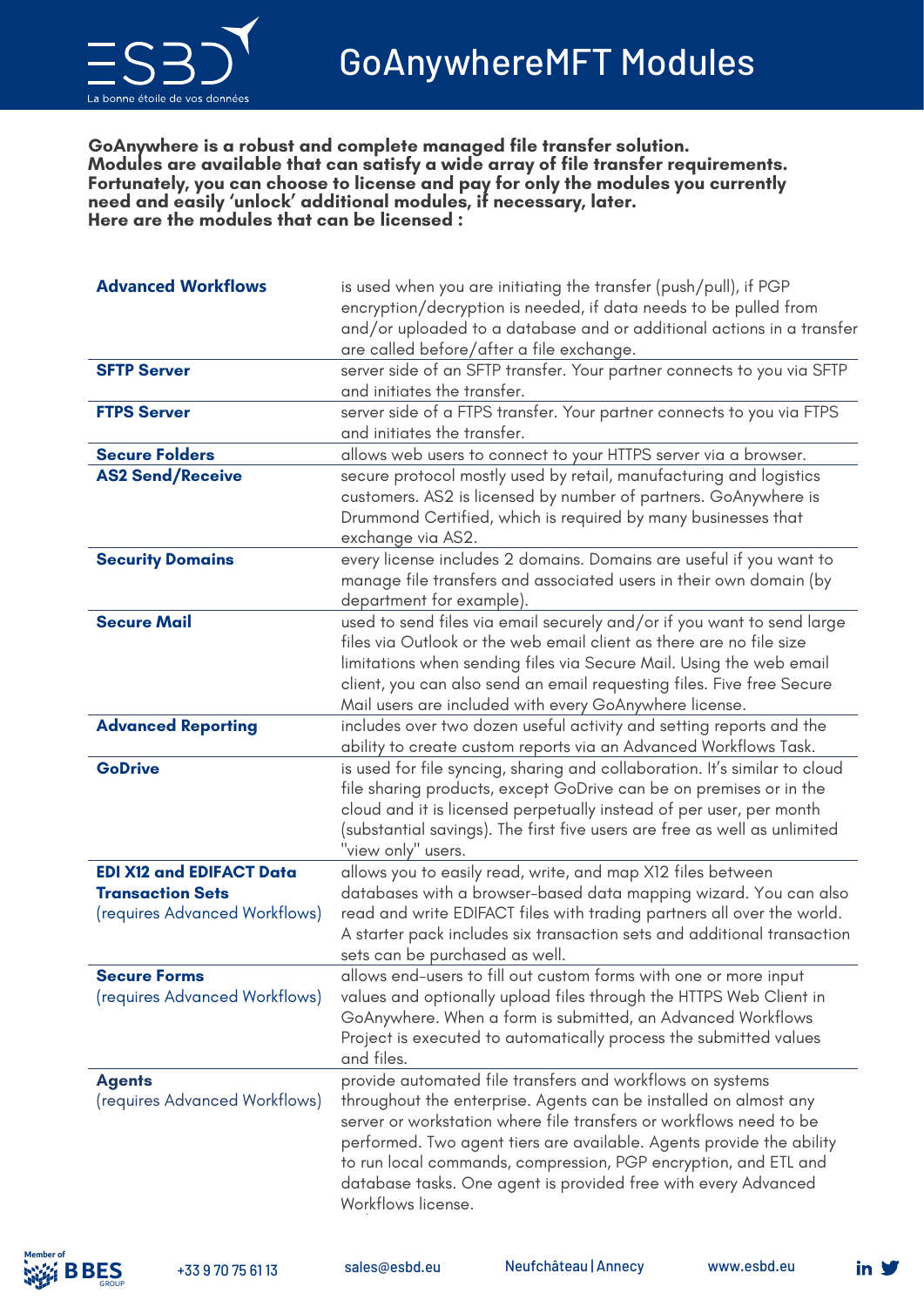

**GoAnywhere is a robust and complete managed file transfer solution. Modules are available that can satisfy a wide array of file transfer requirements. Fortunately, you can choose to license and pay for only the modules you currently need and easily 'unlock' additional modules, if necessary, later. Here are the modules that can be licensed :**

| <b>Advanced Workflows</b>       | is used when you are initiating the transfer (push/pull), if PGP           |
|---------------------------------|----------------------------------------------------------------------------|
|                                 | encryption/decryption is needed, if data needs to be pulled from           |
|                                 | and/or uploaded to a database and or additional actions in a transfer      |
|                                 | are called before/after a file exchange.                                   |
| <b>SFTP Server</b>              | server side of an SFTP transfer. Your partner connects to you via SFTP     |
|                                 | and initiates the transfer.                                                |
| <b>FTPS Server</b>              | server side of a FTPS transfer. Your partner connects to you via FTPS      |
|                                 | and initiates the transfer.                                                |
| <b>Secure Folders</b>           | allows web users to connect to your HTTPS server via a browser.            |
| <b>AS2 Send/Receive</b>         | secure protocol mostly used by retail, manufacturing and logistics         |
|                                 | customers. AS2 is licensed by number of partners. GoAnywhere is            |
|                                 | Drummond Certified, which is required by many businesses that              |
|                                 | exchange via AS2.                                                          |
| <b>Security Domains</b>         | every license includes 2 domains. Domains are useful if you want to        |
|                                 | manage file transfers and associated users in their own domain (by         |
|                                 | department for example).                                                   |
| <b>Secure Mail</b>              | used to send files via email securely and/or if you want to send large     |
|                                 | files via Outlook or the web email client as there are no file size        |
|                                 | limitations when sending files via Secure Mail. Using the web email        |
|                                 | client, you can also send an email requesting files. Five free Secure      |
|                                 | Mail users are included with every GoAnywhere license.                     |
| <b>Advanced Reporting</b>       | includes over two dozen useful activity and setting reports and the        |
|                                 | ability to create custom reports via an Advanced Workflows Task.           |
| <b>GoDrive</b>                  | is used for file syncing, sharing and collaboration. It's similar to cloud |
|                                 | file sharing products, except GoDrive can be on premises or in the         |
|                                 | cloud and it is licensed perpetually instead of per user, per month        |
|                                 | (substantial savings). The first five users are free as well as unlimited  |
|                                 | "view only" users.                                                         |
| <b>EDI X12 and EDIFACT Data</b> | allows you to easily read, write, and map X12 files between                |
| <b>Transaction Sets</b>         | databases with a browser-based data mapping wizard. You can also           |
| (requires Advanced Workflows)   | read and write EDIFACT files with trading partners all over the world.     |
|                                 | A starter pack includes six transaction sets and additional transaction    |
|                                 | sets can be purchased as well.                                             |
| <b>Secure Forms</b>             | allows end-users to fill out custom forms with one or more input           |
| (requires Advanced Workflows)   | values and optionally upload files through the HTTPS Web Client in         |
|                                 | GoAnywhere. When a form is submitted, an Advanced Workflows                |
|                                 | Project is executed to automatically process the submitted values          |
|                                 | and files.                                                                 |
| <b>Agents</b>                   | provide automated file transfers and workflows on systems                  |
| (requires Advanced Workflows)   | throughout the enterprise. Agents can be installed on almost any           |
|                                 | server or workstation where file transfers or workflows need to be         |
|                                 | performed. Two agent tiers are available. Agents provide the ability       |
|                                 | to run local commands, compression, PGP encryption, and ETL and            |
|                                 | database tasks. One agent is provided free with every Advanced             |
|                                 | Workflows license.                                                         |
|                                 |                                                                            |